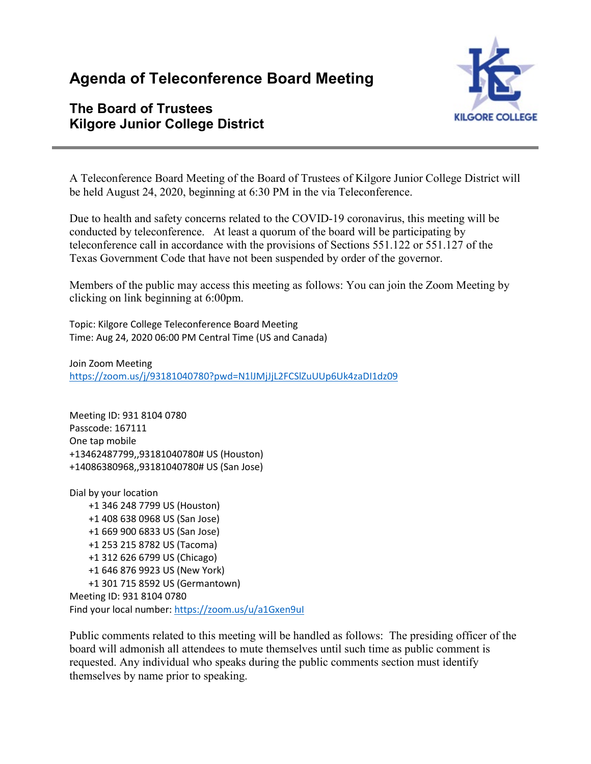# **Agenda of Teleconference Board Meeting**

# **The Board of Trustees Kilgore Junior College District**



A Teleconference Board Meeting of the Board of Trustees of Kilgore Junior College District will be held August 24, 2020, beginning at 6:30 PM in the via Teleconference.

Due to health and safety concerns related to the COVID-19 coronavirus, this meeting will be conducted by teleconference. At least a quorum of the board will be participating by teleconference call in accordance with the provisions of Sections 551.122 or 551.127 of the Texas Government Code that have not been suspended by order of the governor.

Members of the public may access this meeting as follows: You can join the Zoom Meeting by clicking on link beginning at 6:00pm.

Topic: Kilgore College Teleconference Board Meeting Time: Aug 24, 2020 06:00 PM Central Time (US and Canada)

Join Zoom Meeting <https://zoom.us/j/93181040780?pwd=N1lJMjJjL2FCSlZuUUp6Uk4zaDI1dz09>

Meeting ID: 931 8104 0780 Passcode: 167111 One tap mobile +13462487799,,93181040780# US (Houston) +14086380968,,93181040780# US (San Jose)

Dial by your location +1 346 248 7799 US (Houston) +1 408 638 0968 US (San Jose) +1 669 900 6833 US (San Jose) +1 253 215 8782 US (Tacoma) +1 312 626 6799 US (Chicago) +1 646 876 9923 US (New York) +1 301 715 8592 US (Germantown) Meeting ID: 931 8104 0780 Find your local number[: https://zoom.us/u/a1Gxen9uI](https://zoom.us/u/a1Gxen9uI)

Public comments related to this meeting will be handled as follows: The presiding officer of the board will admonish all attendees to mute themselves until such time as public comment is requested. Any individual who speaks during the public comments section must identify themselves by name prior to speaking.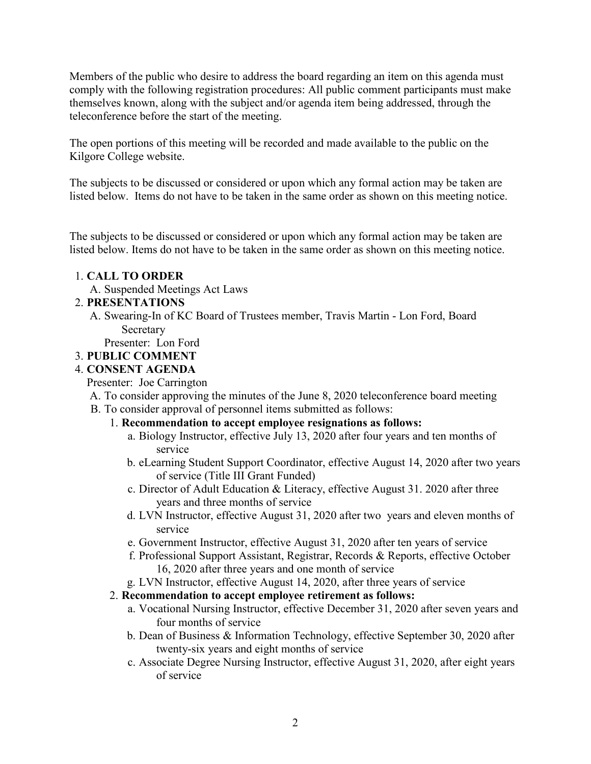Members of the public who desire to address the board regarding an item on this agenda must comply with the following registration procedures: All public comment participants must make themselves known, along with the subject and/or agenda item being addressed, through the teleconference before the start of the meeting.

The open portions of this meeting will be recorded and made available to the public on the Kilgore College website.

The subjects to be discussed or considered or upon which any formal action may be taken are listed below. Items do not have to be taken in the same order as shown on this meeting notice.

The subjects to be discussed or considered or upon which any formal action may be taken are listed below. Items do not have to be taken in the same order as shown on this meeting notice.

#### 1. **CALL TO ORDER**

A. Suspended Meetings Act Laws

#### 2. **PRESENTATIONS**

A. Swearing-In of KC Board of Trustees member, Travis Martin - Lon Ford, Board Secretary

Presenter: Lon Ford

#### 3. **PUBLIC COMMENT**

#### 4. **CONSENT AGENDA**

Presenter: Joe Carrington

- A. To consider approving the minutes of the June 8, 2020 teleconference board meeting
- B. To consider approval of personnel items submitted as follows:
	- 1. **Recommendation to accept employee resignations as follows:**
		- a. Biology Instructor, effective July 13, 2020 after four years and ten months of service
		- b. eLearning Student Support Coordinator, effective August 14, 2020 after two years of service (Title III Grant Funded)
		- c. Director of Adult Education & Literacy, effective August 31. 2020 after three years and three months of service
		- d. LVN Instructor, effective August 31, 2020 after two years and eleven months of service
		- e. Government Instructor, effective August 31, 2020 after ten years of service
		- f. Professional Support Assistant, Registrar, Records & Reports, effective October 16, 2020 after three years and one month of service
		- g. LVN Instructor, effective August 14, 2020, after three years of service

#### 2. **Recommendation to accept employee retirement as follows:**

- a. Vocational Nursing Instructor, effective December 31, 2020 after seven years and four months of service
- b. Dean of Business & Information Technology, effective September 30, 2020 after twenty-six years and eight months of service
- c. Associate Degree Nursing Instructor, effective August 31, 2020, after eight years of service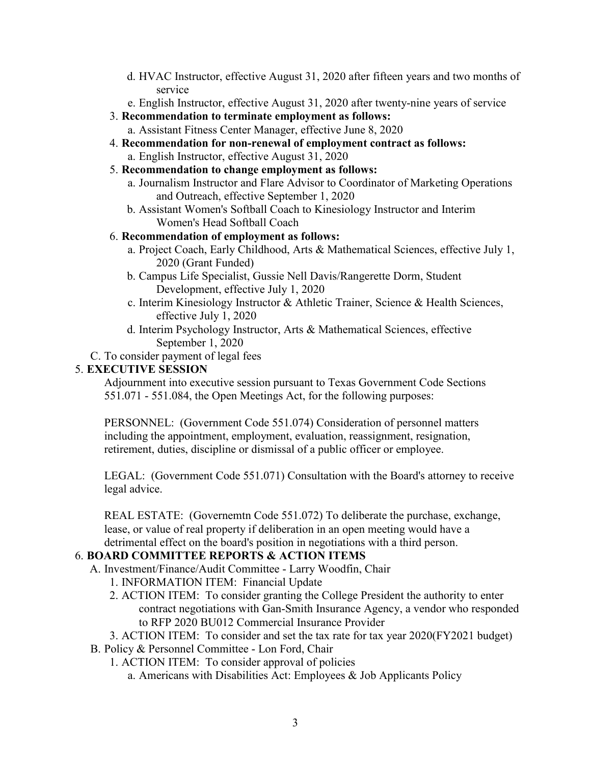- d. HVAC Instructor, effective August 31, 2020 after fifteen years and two months of service
- e. English Instructor, effective August 31, 2020 after twenty-nine years of service
- 3. **Recommendation to terminate employment as follows:**
	- a. Assistant Fitness Center Manager, effective June 8, 2020
- 4. **Recommendation for non-renewal of employment contract as follows:** a. English Instructor, effective August 31, 2020
- 5. **Recommendation to change employment as follows:**
	- a. Journalism Instructor and Flare Advisor to Coordinator of Marketing Operations and Outreach, effective September 1, 2020
	- b. Assistant Women's Softball Coach to Kinesiology Instructor and Interim Women's Head Softball Coach

#### 6. **Recommendation of employment as follows:**

- a. Project Coach, Early Childhood, Arts & Mathematical Sciences, effective July 1, 2020 (Grant Funded)
- b. Campus Life Specialist, Gussie Nell Davis/Rangerette Dorm, Student Development, effective July 1, 2020
- c. Interim Kinesiology Instructor & Athletic Trainer, Science & Health Sciences, effective July 1, 2020
- d. Interim Psychology Instructor, Arts & Mathematical Sciences, effective September 1, 2020

C. To consider payment of legal fees

#### 5. **EXECUTIVE SESSION**

Adjournment into executive session pursuant to Texas Government Code Sections 551.071 - 551.084, the Open Meetings Act, for the following purposes:

PERSONNEL: (Government Code 551.074) Consideration of personnel matters including the appointment, employment, evaluation, reassignment, resignation, retirement, duties, discipline or dismissal of a public officer or employee.

LEGAL: (Government Code 551.071) Consultation with the Board's attorney to receive legal advice.

REAL ESTATE: (Governemtn Code 551.072) To deliberate the purchase, exchange, lease, or value of real property if deliberation in an open meeting would have a detrimental effect on the board's position in negotiations with a third person.

## 6. **BOARD COMMITTEE REPORTS & ACTION ITEMS**

- A. Investment/Finance/Audit Committee Larry Woodfin, Chair
	- 1. INFORMATION ITEM: Financial Update
	- 2. ACTION ITEM: To consider granting the College President the authority to enter contract negotiations with Gan-Smith Insurance Agency, a vendor who responded to RFP 2020 BU012 Commercial Insurance Provider
- 3. ACTION ITEM: To consider and set the tax rate for tax year 2020(FY2021 budget)
- B. Policy & Personnel Committee Lon Ford, Chair
	- 1. ACTION ITEM: To consider approval of policies
		- a. Americans with Disabilities Act: Employees & Job Applicants Policy